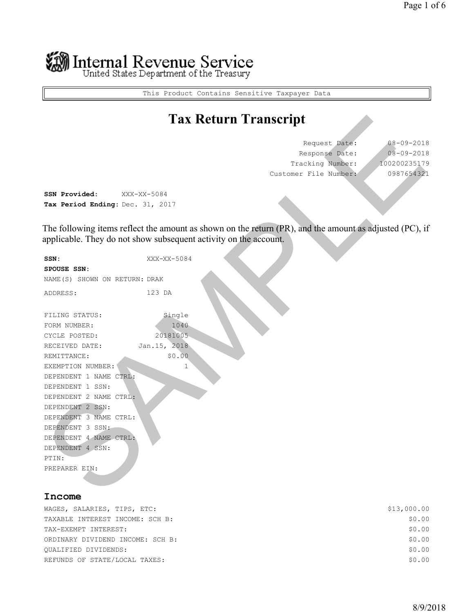# Internal Revenue Service<br>United States Department of the Treasury

This Product Contains Sensitive Taxpayer Data

### **Tax Return Transcript**

| Request Date:         | $08 - 09 - 2018$ |
|-----------------------|------------------|
| Response Date:        | $08 - 09 - 2018$ |
| Tracking Number:      | 100200235179     |
| Customer File Number: | 0987654321       |

|                                                                                                                                                                                                                                                                                                                         |                                                                  | <b>Tax Return Transcript</b>                                                                           |                                                                |
|-------------------------------------------------------------------------------------------------------------------------------------------------------------------------------------------------------------------------------------------------------------------------------------------------------------------------|------------------------------------------------------------------|--------------------------------------------------------------------------------------------------------|----------------------------------------------------------------|
|                                                                                                                                                                                                                                                                                                                         |                                                                  | Request Date:<br>Response Date:<br>Tracking Number:<br>Customer File Number:                           | $08 - 09 - 201$<br>$08 - 09 - 201$<br>10020023517<br>098765432 |
| SSN Provided:<br>Tax Period Ending: Dec. 31, 2017                                                                                                                                                                                                                                                                       | XXX-XX-5084                                                      |                                                                                                        |                                                                |
|                                                                                                                                                                                                                                                                                                                         | applicable. They do not show subsequent activity on the account. | The following items reflect the amount as shown on the return (PR), and the amount as adjusted (PC), i |                                                                |
| SSN:<br>SPOUSE SSN:<br>NAME (S) SHOWN ON RETURN: DRAK                                                                                                                                                                                                                                                                   | XXX-XX-5084                                                      |                                                                                                        |                                                                |
| ADDRESS:                                                                                                                                                                                                                                                                                                                | 123 DA                                                           |                                                                                                        |                                                                |
| FILING STATUS:<br>FORM NUMBER:<br>CYCLE POSTED:<br>RECEIVED DATE:<br>REMITTANCE:<br>EXEMPTION NUMBER:<br>DEPENDENT 1 NAME CTRL:<br>DEPENDENT 1 SSN:<br>DEPENDENT 2 NAME CTRL:<br>DEPENDENT 2 SSN:<br>DEPENDENT 3 NAME CTRL:<br>DEPENDENT 3 SSN:<br>DEPENDENT 4 NAME CTRL:<br>DEPENDENT 4 SSN:<br>PTIN:<br>PREPARER EIN: | Single<br>1040<br>20181005<br>Jan. 15, 2018<br>\$0.00<br>1       |                                                                                                        |                                                                |
| <b>Tnaame</b>                                                                                                                                                                                                                                                                                                           |                                                                  |                                                                                                        |                                                                |

#### **Income**

| WAGES, SALARIES, TIPS, ETC:      | \$13,000.00 |
|----------------------------------|-------------|
| TAXABLE INTEREST INCOME: SCH B:  | \$0.00      |
| TAX-EXEMPT INTEREST:             | \$0.00      |
| ORDINARY DIVIDEND INCOME: SCH B: | \$0.00      |
| OUALIFIED DIVIDENDS:             | \$0.00      |
| REFUNDS OF STATE/LOCAL TAXES:    | \$0.00      |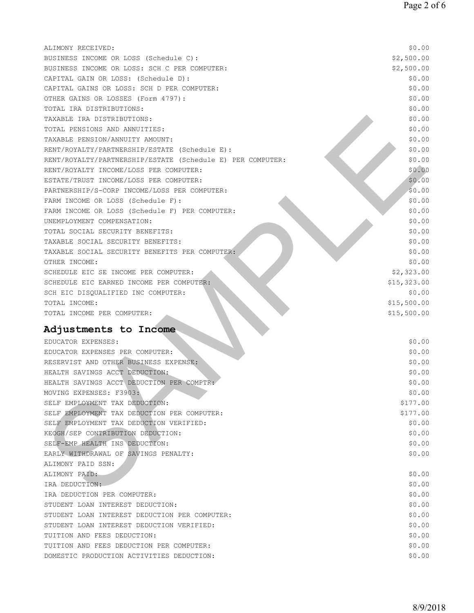| ALIMONY RECEIVED:                                          | \$0.00      |
|------------------------------------------------------------|-------------|
| BUSINESS INCOME OR LOSS (Schedule C):                      | \$2,500.00  |
| BUSINESS INCOME OR LOSS: SCH C PER COMPUTER:               | \$2,500.00  |
| CAPITAL GAIN OR LOSS: (Schedule D):                        | \$0.00      |
| CAPITAL GAINS OR LOSS: SCH D PER COMPUTER:                 | \$0.00      |
| OTHER GAINS OR LOSSES (Form 4797):                         | \$0.00      |
| TOTAL IRA DISTRIBUTIONS:                                   | \$0.00      |
| TAXABLE IRA DISTRIBUTIONS:                                 | \$0.00      |
| TOTAL PENSIONS AND ANNUITIES:                              | \$0.00      |
| TAXABLE PENSION/ANNUITY AMOUNT:                            | \$0.00      |
| RENT/ROYALTY/PARTNERSHIP/ESTATE (Schedule E):              | \$0.00      |
| RENT/ROYALTY/PARTNERSHIP/ESTATE (Schedule E) PER COMPUTER: | \$0.00      |
| RENT/ROYALTY INCOME/LOSS PER COMPUTER:                     | \$0.00      |
| ESTATE/TRUST INCOME/LOSS PER COMPUTER:                     | \$0.00      |
| PARTNERSHIP/S-CORP INCOME/LOSS PER COMPUTER:               | \$0.00      |
| FARM INCOME OR LOSS (Schedule F):                          | \$0.00      |
| FARM INCOME OR LOSS (Schedule F) PER COMPUTER:             | \$0.00      |
| UNEMPLOYMENT COMPENSATION:                                 | \$0.00      |
| TOTAL SOCIAL SECURITY BENEFITS:                            | \$0.00      |
| TAXABLE SOCIAL SECURITY BENEFITS:                          | \$0.00      |
| TAXABLE SOCIAL SECURITY BENEFITS PER COMPUTER:             | \$0.00      |
| OTHER INCOME:                                              | \$0.00      |
| SCHEDULE EIC SE INCOME PER COMPUTER:                       | \$2,323.00  |
| SCHEDULE EIC EARNED INCOME PER COMPUTER:                   | \$15,323.00 |
| SCH EIC DISQUALIFIED INC COMPUTER:                         | \$0.00      |
| TOTAL INCOME:                                              | \$15,500.00 |
| TOTAL INCOME PER COMPUTER:                                 | \$15,500.00 |
|                                                            |             |
| Adjustments to Income                                      |             |
| EDUCATOR EXPENSES:                                         | \$0.00      |
| EDUCATOR EXPENSES PER COMPUTER:                            | \$0.00      |
| RESERVIST AND OTHER BUSINESS EXPENSE:                      | \$0.00      |
| HEALTH SAVINGS ACCT DEDUCTION:                             | \$0.00      |
| HEALTH SAVINGS ACCT DEDUCTION PER COMPTR:                  | \$0.00      |
| MOVING EXPENSES: F3903:                                    | \$0.00      |
| SELF EMPLOYMENT TAX DEDUCTION:                             | \$177.00    |
| SELF EMPLOYMENT TAX DEDUCTION PER COMPUTER:                | \$177.00    |
| SELF EMPLOYMENT TAX DEDUCTION VERIFIED:                    | \$0.00      |
| KEOGH/SEP CONTRIBUTION DEDUCTION:                          | \$0.00      |
| SELF-EMP HEALTH INS DEDUCTION:                             | \$0.00      |
| EARLY WITHDRAWAL OF SAVINGS PENALTY:                       | \$0.00      |
| ALIMONY PAID SSN:                                          |             |
| ALIMONY PAID:                                              | \$0.00      |
| IRA DEDUCTION:                                             | \$0.00      |
| IRA DEDUCTION PER COMPUTER:                                | \$0.00      |
| STUDENT LOAN INTEREST DEDUCTION:                           | \$0.00      |
| STUDENT LOAN INTEREST DEDUCTION PER COMPUTER:              | \$0.00      |
| STUDENT LOAN INTEREST DEDUCTION VERIFIED:                  | \$0.00      |
| TUITION AND FEES DEDUCTION:                                | \$0.00      |
| TUITION AND FEES DEDUCTION PER COMPUTER:                   | \$0.00      |
| DOMESTIC PRODUCTION ACTIVITIES DEDUCTION:                  | \$0.00      |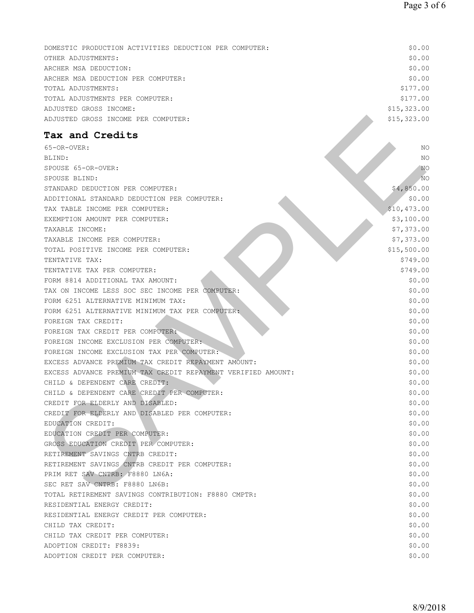| DOMESTIC PRODUCTION ACTIVITIES DEDUCTION PER COMPUTER: | \$0.00      |
|--------------------------------------------------------|-------------|
| OTHER ADJUSTMENTS:                                     | \$0.00      |
| ARCHER MSA DEDUCTION:                                  | \$0.00      |
| ARCHER MSA DEDUCTION PER COMPUTER:                     | \$0.00      |
| TOTAL ADJUSTMENTS:                                     | \$177.00    |
| TOTAL ADJUSTMENTS PER COMPUTER:                        | \$177.00    |
| ADJUSTED GROSS INCOME:                                 | \$15,323.00 |
| ADJUSTED GROSS INCOME PER COMPUTER:                    | \$15,323.00 |

## **Tax and Credits**

| ADJUSTED GROSS INCOME PER COMPUTER:                          | \$15,323.00     |
|--------------------------------------------------------------|-----------------|
| Tax and Credits                                              |                 |
| 65-OR-OVER:                                                  | NO              |
| BLIND:                                                       | NO              |
| SPOUSE 65-OR-OVER:                                           | NO              |
| SPOUSE BLIND:                                                | NO <sub>1</sub> |
| STANDARD DEDUCTION PER COMPUTER:                             | \$4,850.00      |
| ADDITIONAL STANDARD DEDUCTION PER COMPUTER:                  | \$0.00          |
| TAX TABLE INCOME PER COMPUTER:                               | \$10,473.00     |
| EXEMPTION AMOUNT PER COMPUTER:                               | \$3,100.00      |
| TAXABLE INCOME:                                              | \$7,373.00      |
| TAXABLE INCOME PER COMPUTER:                                 | \$7,373.00      |
| TOTAL POSITIVE INCOME PER COMPUTER:                          | \$15,500.00     |
| TENTATIVE TAX:                                               | \$749.00        |
| TENTATIVE TAX PER COMPUTER:                                  | \$749.00        |
| FORM 8814 ADDITIONAL TAX AMOUNT:                             | \$0.00          |
| TAX ON INCOME LESS SOC SEC INCOME PER COMPUTER:              | \$0.00          |
| FORM 6251 ALTERNATIVE MINIMUM TAX:                           | \$0.00          |
| FORM 6251 ALTERNATIVE MINIMUM TAX PER COMPUTER:              | \$0.00          |
| FOREIGN TAX CREDIT:                                          | \$0.00          |
| FOREIGN TAX CREDIT PER COMPUTER:                             | \$0.00          |
| FOREIGN INCOME EXCLUSION PER COMPUTER:                       | \$0.00          |
| FOREIGN INCOME EXCLUSION TAX PER COMPUTER:                   | \$0.00          |
| EXCESS ADVANCE PREMIUM TAX CREDIT REPAYMENT AMOUNT:          | \$0.00          |
| EXCESS ADVANCE PREMIUM TAX CREDIT REPAYMENT VERIFIED AMOUNT: | \$0.00          |
| CHILD & DEPENDENT CARE CREDIT:                               | \$0.00          |
| CHILD & DEPENDENT CARE CREDIT PER COMPUTER:                  | \$0.00          |
| CREDIT FOR ELDERLY AND DISABLED:                             | \$0.00          |
| CREDIT FOR ELDERLY AND DISABLED PER COMPUTER:                | \$0.00          |
| EDUCATION CREDIT:                                            | \$0.00          |
| EDUCATION CREDIT PER COMPUTER:                               | \$0.00          |
| GROSS EDUCATION CREDIT PER COMPUTER:                         | \$0.00          |
| RETIREMENT SAVINGS CNTRB CREDIT:                             | \$0.00          |
| RETIREMENT SAVINGS CNTRB CREDIT PER COMPUTER:                | \$0.00          |
| PRIM RET SAV CNTRB: F8880 LN6A:                              | \$0.00          |
| SEC RET SAV CNTRB: F8880 LN6B:                               | \$0.00          |
| TOTAL RETIREMENT SAVINGS CONTRIBUTION: F8880 CMPTR:          | \$0.00          |
| RESIDENTIAL ENERGY CREDIT:                                   | \$0.00          |
| RESIDENTIAL ENERGY CREDIT PER COMPUTER:                      | \$0.00          |
| CHILD TAX CREDIT:                                            | \$0.00          |
| CHILD TAX CREDIT PER COMPUTER:                               | \$0.00          |
| ADOPTION CREDIT: F8839:                                      | \$0.00          |
| ADOPTION CREDIT PER COMPUTER:                                | \$0.00          |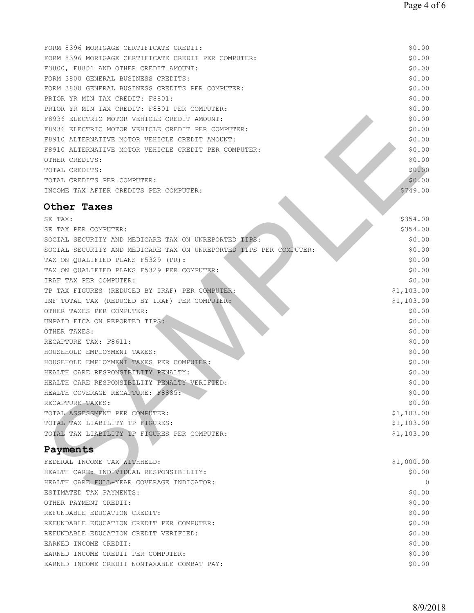| FORM 8396 MORTGAGE CERTIFICATE CREDIT:                            | \$0.00     |
|-------------------------------------------------------------------|------------|
| FORM 8396 MORTGAGE CERTIFICATE CREDIT PER COMPUTER:               | \$0.00     |
| F3800, F8801 AND OTHER CREDIT AMOUNT:                             | \$0.00     |
| FORM 3800 GENERAL BUSINESS CREDITS:                               | \$0.00     |
| FORM 3800 GENERAL BUSINESS CREDITS PER COMPUTER:                  | \$0.00     |
| PRIOR YR MIN TAX CREDIT: F8801:                                   | \$0.00     |
| PRIOR YR MIN TAX CREDIT: F8801 PER COMPUTER:                      | \$0.00     |
| F8936 ELECTRIC MOTOR VEHICLE CREDIT AMOUNT:                       | \$0.00     |
| F8936 ELECTRIC MOTOR VEHICLE CREDIT PER COMPUTER:                 | \$0.00     |
| F8910 ALTERNATIVE MOTOR VEHICLE CREDIT AMOUNT:                    | \$0.00     |
| F8910 ALTERNATIVE MOTOR VEHICLE CREDIT PER COMPUTER:              | \$0.00     |
| OTHER CREDITS:                                                    | \$0.00     |
| TOTAL CREDITS:                                                    | \$0.00     |
| TOTAL CREDITS PER COMPUTER:                                       | \$0.00     |
| INCOME TAX AFTER CREDITS PER COMPUTER:                            | \$749.00   |
|                                                                   |            |
| Other Taxes                                                       |            |
| SE TAX:                                                           | \$354.00   |
| SE TAX PER COMPUTER:                                              | \$354.00   |
| SOCIAL SECURITY AND MEDICARE TAX ON UNREPORTED TIPS:              | \$0.00     |
| SOCIAL SECURITY AND MEDICARE TAX ON UNREPORTED TIPS PER COMPUTER: | \$0.00     |
| TAX ON QUALIFIED PLANS F5329 (PR):                                | \$0.00     |
| TAX ON QUALIFIED PLANS F5329 PER COMPUTER:                        | \$0.00     |
| IRAF TAX PER COMPUTER:                                            | \$0.00     |
| TP TAX FIGURES (REDUCED BY IRAF) PER COMPUTER:                    | \$1,103.00 |
| IMF TOTAL TAX (REDUCED BY IRAF) PER COMPUTER:                     | \$1,103.00 |
| OTHER TAXES PER COMPUTER:                                         | \$0.00     |
| UNPAID FICA ON REPORTED TIPS:                                     | \$0.00     |
| OTHER TAXES:                                                      | \$0.00     |
| RECAPTURE TAX: F8611:                                             | \$0.00     |
| HOUSEHOLD EMPLOYMENT TAXES:                                       | \$0.00     |
| HOUSEHOLD EMPLOYMENT TAXES PER COMPUTER:                          | \$0.00     |
| HEALTH CARE RESPONSIBILITY PENALTY:                               | \$0.00     |
| HEALTH CARE RESPONSIBILITY PENALTY VERIFIED:                      | \$0.00     |
| HEALTH COVERAGE RECAPTURE: F8885:                                 | \$0.00     |
| RECAPTURE TAXES:                                                  | \$0.00     |
| TOTAL ASSESSMENT PER COMPUTER:                                    | \$1,103.00 |
| TOTAL TAX LIABILITY TP FIGURES:                                   | \$1,103.00 |
| TOTAL TAX LIABILITY TP FIGURES PER COMPUTER:                      | \$1,103.00 |
|                                                                   |            |
| Payments                                                          |            |
| FEDERAL INCOME TAX WITHHELD:                                      | \$1,000.00 |
| HEALTH CARE: INDIVIDUAL RESPONSIBILITY:                           | \$0.00     |
| HEALTH CARE FULL-YEAR COVERAGE INDICATOR:                         | $\Omega$   |
| ESTIMATED TAX PAYMENTS:                                           | \$0.00     |

### **Payments**

| FEDERAL INCOME TAX WITHHELD:                | \$1,000.00 |
|---------------------------------------------|------------|
| HEALTH CARE: INDIVIDUAL RESPONSIBILITY:     | \$0.00     |
| HEALTH CARE FULL-YEAR COVERAGE INDICATOR:   |            |
| ESTIMATED TAX PAYMENTS:                     | \$0.00     |
| OTHER PAYMENT CREDIT:                       | \$0.00     |
| REFUNDABLE EDUCATION CREDIT:                | \$0.00     |
| REFUNDABLE EDUCATION CREDIT PER COMPUTER:   | \$0.00     |
| REFUNDABLE EDUCATION CREDIT VERIFIED:       | \$0.00     |
| EARNED INCOME CREDIT:                       | \$0.00     |
| EARNED INCOME CREDIT PER COMPUTER:          | \$0.00     |
| EARNED INCOME CREDIT NONTAXABLE COMBAT PAY: | \$0.00     |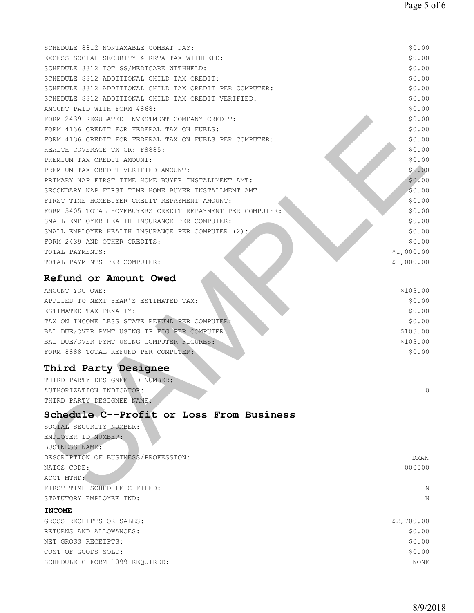| SCHEDULE 8812 NONTAXABLE COMBAT PAY:                      | \$0.00      |
|-----------------------------------------------------------|-------------|
| EXCESS SOCIAL SECURITY & RRTA TAX WITHHELD:               | \$0.00      |
| SCHEDULE 8812 TOT SS/MEDICARE WITHHELD:                   | \$0.00      |
| SCHEDULE 8812 ADDITIONAL CHILD TAX CREDIT:                | \$0.00      |
| SCHEDULE 8812 ADDITIONAL CHILD TAX CREDIT PER COMPUTER:   | \$0.00      |
| SCHEDULE 8812 ADDITIONAL CHILD TAX CREDIT VERIFIED:       | \$0.00      |
| AMOUNT PAID WITH FORM 4868:                               | \$0.00      |
| FORM 2439 REGULATED INVESTMENT COMPANY CREDIT:            | \$0.00      |
| FORM 4136 CREDIT FOR FEDERAL TAX ON FUELS:                | \$0.00      |
| FORM 4136 CREDIT FOR FEDERAL TAX ON FUELS PER COMPUTER:   | \$0.00      |
| HEALTH COVERAGE TX CR: F8885:                             | \$0.00      |
| PREMIUM TAX CREDIT AMOUNT:                                | \$0.00      |
| PREMIUM TAX CREDIT VERIFIED AMOUNT:                       | \$0.00      |
| PRIMARY NAP FIRST TIME HOME BUYER INSTALLMENT AMT:        | \$0.00      |
| SECONDARY NAP FIRST TIME HOME BUYER INSTALLMENT AMT:      | \$0.00      |
| FIRST TIME HOMEBUYER CREDIT REPAYMENT AMOUNT:             | \$0.00      |
| FORM 5405 TOTAL HOMEBUYERS CREDIT REPAYMENT PER COMPUTER: | \$0.00      |
| SMALL EMPLOYER HEALTH INSURANCE PER COMPUTER:             | \$0.00      |
| SMALL EMPLOYER HEALTH INSURANCE PER COMPUTER $(2):$       | \$0.00      |
| FORM 2439 AND OTHER CREDITS:                              | \$0.00      |
| TOTAL PAYMENTS:                                           | \$1,000.00  |
| TOTAL PAYMENTS PER COMPUTER:                              | \$1,000.00  |
| Refund or Amount Owed                                     |             |
| AMOUNT YOU OWE:                                           | \$103.00    |
| APPLIED TO NEXT YEAR'S ESTIMATED TAX:                     | \$0.00      |
| ESTIMATED TAX PENALTY:                                    | \$0.00      |
| TAX ON INCOME LESS STATE REFUND PER COMPUTER:             | \$0.00      |
| BAL DUE/OVER PYMT USING TP FIG PER COMPUTER:              | \$103.00    |
| BAL DUE/OVER PYMT USING COMPUTER FIGURES:                 | \$103.00    |
| FORM 8888 TOTAL REFUND PER COMPUTER:                      | \$0.00      |
|                                                           |             |
| Third Party Designee                                      |             |
| THIRD PARTY DESIGNEE ID NUMBER:                           |             |
| AUTHORIZATION INDICATOR:                                  |             |
| THIRD PARTY DESIGNEE NAME:                                |             |
| Schedule C--Profit or Loss From Business                  |             |
| SOCIAL SECURITY NUMBER:                                   |             |
| EMPLOYER ID NUMBER:                                       |             |
| BUSINESS NAME:                                            |             |
| DESCRIPTION OF BUSINESS/PROFESSION:                       | <b>DRAK</b> |
| NAICS CODE:                                               | 000000      |
| ACCT MTHD:                                                |             |
| FIRST TIME SCHEDULE C FILED:                              | N           |
| STATUTORY EMPLOYEE IND:                                   | N           |
| <b>INCOME</b>                                             |             |
| GROSS RECEIPTS OR SALES:                                  | \$2,700.00  |
| RETURNS AND ALLOWANCES:                                   | \$0.00      |
| NET GROSS RECEIPTS:                                       | \$0.00      |
| COST OF GOODS SOLD:                                       | \$0.00      |
| SCHEDULE C FORM 1099 REQUIRED:                            | NONE        |
|                                                           |             |
|                                                           |             |